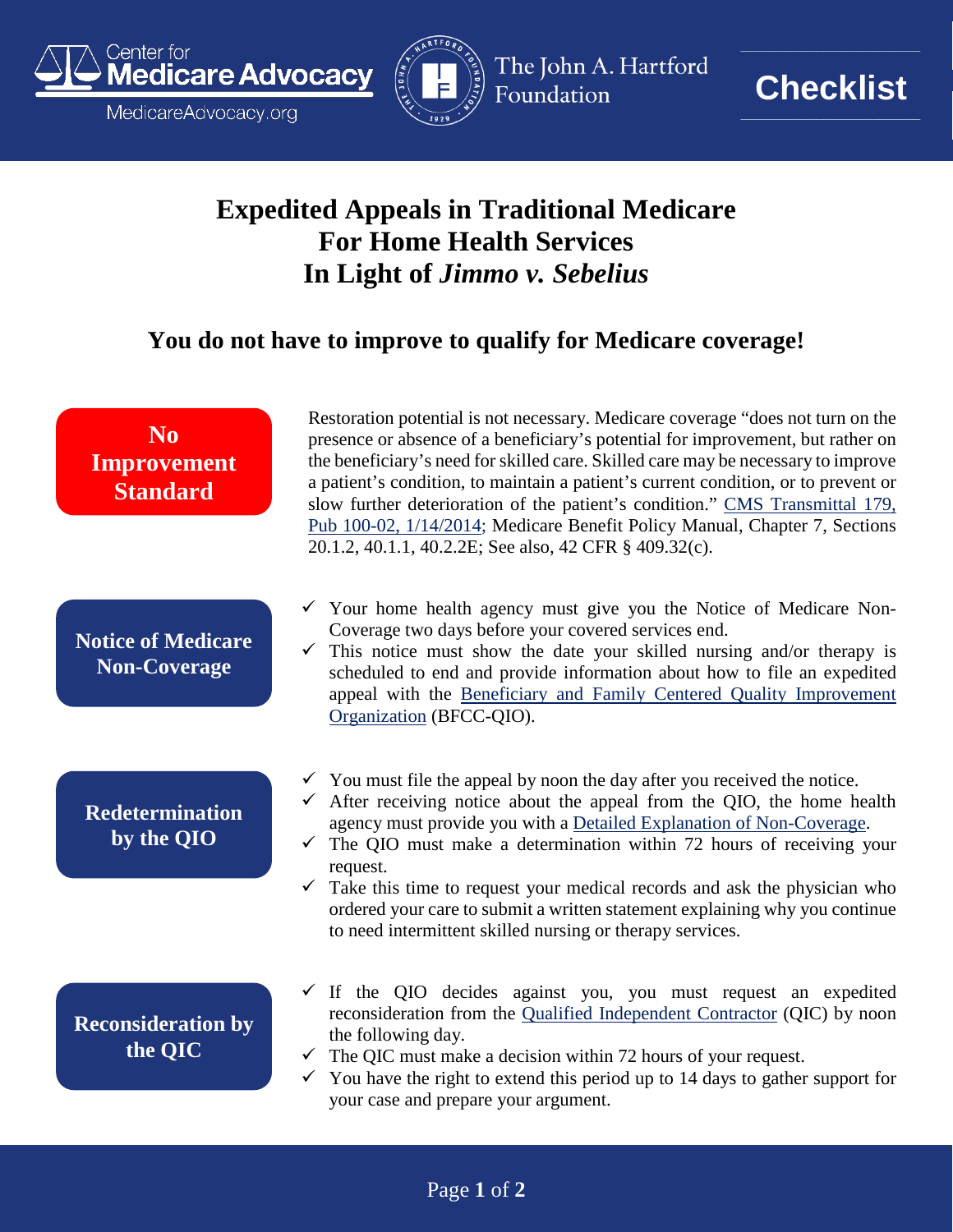

MedicareAdvocacy.org



The John A. Hartford Foundation



**\_\_\_\_\_\_\_\_\_\_\_\_\_\_\_\_\_\_\_\_\_\_\_\_\_\_**

## **Expedited Appeals in Traditional Medicare For Home Health Services In Light of** *Jimmo v. Sebelius*

## **You do not have to improve to qualify for Medicare coverage!**